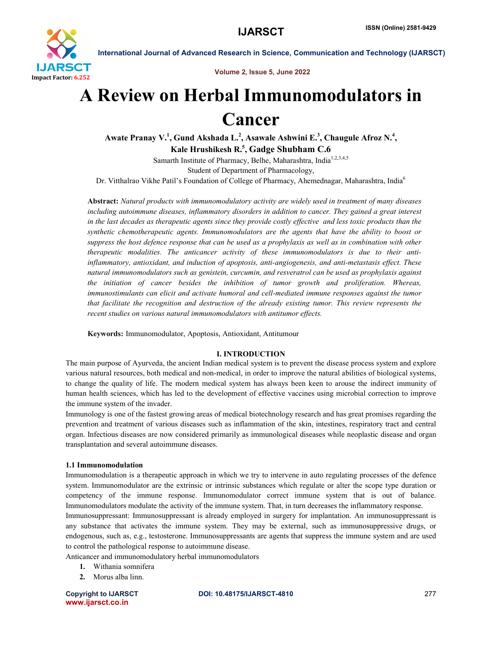

Volume 2, Issue 5, June 2022

International Journal of Advanced Research in Science, Communication and Technology (IJARSCT)

# A Review on Herbal Immunomodulators in Cancer

Awate Pranay V.<sup>1</sup>, Gund Akshada L.<sup>2</sup>, Asawale Ashwini E.<sup>3</sup>, Chaugule Afroz N.<sup>4</sup>, Kale Hrushikesh R.<sup>5</sup>, Gadge Shubham C.6

Samarth Institute of Pharmacy, Belhe, Maharashtra, India<sup>1,2,3,4,5</sup> Student of Department of Pharmacology,

Dr. Vitthalrao Vikhe Patil's Foundation of College of Pharmacy, Ahemednagar, Maharashtra, India<sup>6</sup>

Abstract: *Natural products with immunomodulatory activity are widely used in treatment of many diseases including autoimmune diseases, inflammatory disorders in addition to cancer. They gained a great interest in the last decades as therapeutic agents since they provide costly effective and less toxic products than the synthetic chemotherapeutic agents. Immunomodulators are the agents that have the ability to boost or suppress the host defence response that can be used as a prophylaxis as well as in combination with other therapeutic modalities. The anticancer activity of these immunomodulators is due to their antiinflammatory, antioxidant, and induction of apoptosis, anti-angiogenesis, and anti-metastasis effect. These natural immunomodulators such as genistein, curcumin, and resveratrol can be used as prophylaxis against the initiation of cancer besides the inhibition of tumor growth and proliferation. Whereas, immunostimulants can elicit and activate humoral and cell-mediated immune responses against the tumor that facilitate the recognition and destruction of the already existing tumor. This review represents the recent studies on various natural immunomodulators with antitumor effects.*

Keywords: Immunomodulator, Apoptosis, Antioxidant, Antitumour

# I. INTRODUCTION

The main purpose of Ayurveda, the ancient Indian medical system is to prevent the disease process system and explore various natural resources, both medical and non-medical, in order to improve the natural abilities of biological systems, to change the quality of life. The modern medical system has always been keen to arouse the indirect immunity of human health sciences, which has led to the development of effective vaccines using microbial correction to improve the immune system of the invader.

Immunology is one of the fastest growing areas of medical biotechnology research and has great promises regarding the prevention and treatment of various diseases such as inflammation of the skin, intestines, respiratory tract and central organ. Infectious diseases are now considered primarily as immunological diseases while neoplastic disease and organ transplantation and several autoimmune diseases.

# 1.1 Immunomodulation

Immunomodulation is a therapeutic approach in which we try to intervene in auto regulating processes of the defence system. Immunomodulator are the extrinsic or intrinsic substances which regulate or alter the scope type duration or competency of the immune response. Immunomodulator correct immune system that is out of balance. Immunomodulators modulate the activity of the immune system. That, in turn decreases the inflammatory response.

Immunosuppressant: Immunosuppressant is already employed in surgery for implantation. An immunosuppressant is any substance that activates the immune system. They may be external, such as immunosuppressive drugs, or endogenous, such as, e.g., testosterone. Immunosuppressants are agents that suppress the immune system and are used to control the pathological response to autoimmune disease.

Anticancer and immunomodulatory herbal immunomodulators

- 1. Withania somnifera
- 2. Morus alba linn.

www.ijarsct.co.in

# Copyright to IJARSCT DOI: 10.48175/IJARSCT-4810 **277**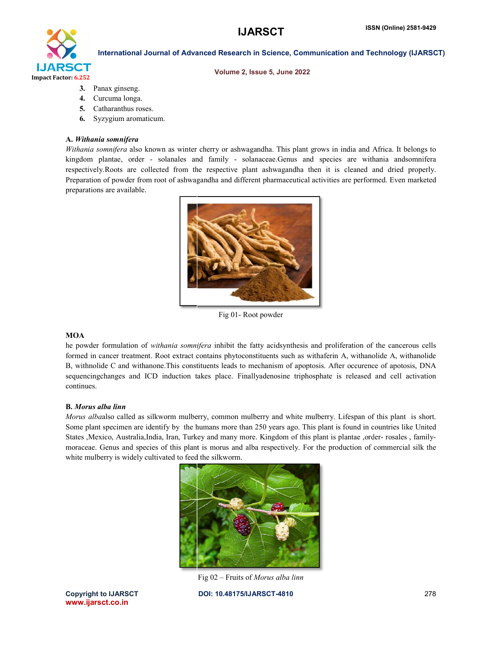# **IJARSCT**



# International Journal of Advanced Research in Science, Communication and Technology (IJARSCT)

#### Volume 2, Issue 5, June 2022

- 3. Panax ginseng.
- 4. Curcuma longa.
- 5. Catharanthus roses.
- 6. Syzygium aromaticum.

#### A. *Withania somnifera*

Withania somnifera also known as winter cherry or ashwagandha. This plant grows in india and Africa. It belongs to kingdom plantae, order - solanales and family - solanaceae.Genus and species are withania andsomnifera respectively. Roots are collected from the respective plant ashwagandha then it is cleaned and dried properly. Preparation of powder from root of ashwagandha and different pharmaceutical activities are performed. Even marketed preparations are available.



Fig 01- Root powder

# **MOA**

he powder formulation of *withania somnifera* inhibit the fatty acidsynthesis and proliferation of the cancerous cells formed in cancer treatment. Root extract contains phytoconstituents such as withaferin A, withanolide A, withanolide B, withnolide C and withanone. This constituents leads to mechanism of apoptosis. After occurence of apotosis, DNA sequencingchanges and ICD induction takes place. Finallyadenosine triphosphate is released and cell activation continues.

# B. *Morus alba linn*

Morus albaalso called as silkworm mulberry, common mulberry and white mulberry. Lifespan of this plant is short. Some plant specimen are identify by the humans more than 250 years ago. This plant is found in countries like United States , Mexico, Australia, India, Iran, Turkey and many more. Kingdom of this plant is plantae , order- rosales , familymoraceae. Genus and species of this plant is morus and alba respectively. For the production of commercial silk the white mulberry is widely cultivated to feed the silkworm.



Fig 02 – Fruits of *Morus alba linn*

DOI: 10.48175/IJARSCT-4810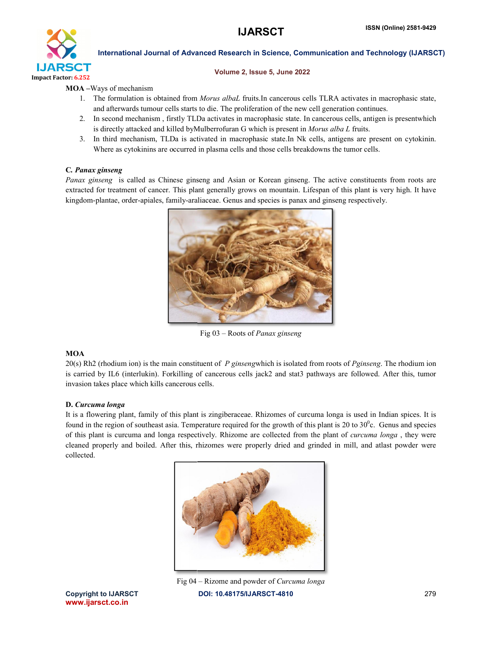# **IJARSCT**



# International Journal of Advanced Research in Science, Communication and Technology (IJARSCT)

# Volume 2, Issue 5, June 2022

# MOA –Ways of mechanism

- 1. The formulation is obtained from *Morus albaL* fruits. In cancerous cells TLRA activates in macrophasic state, and afterwards tumour cells starts to die. The proliferation of the new cell generation continues.
- 2. In second mechanism, firstly TLDa activates in macrophasic state. In cancerous cells, antigen is presentwhich is directly attacked and killed byMulberrofuran G which is present in *Morus alba L* fruits.
- 3. In third mechanism, TLDa is activated in macrophasic state.In Nk cells, antigens are present on cytokinin. Where as cytokinins are occurred in plasma cells and those cells breakdowns the tumor cells.

# C*. Panax ginseng*

Panax ginseng is called as Chinese ginseng and Asian or Korean ginseng. The active constituents from roots are extracted for treatment of cancer. This plant generally grows on mountain. Lifespan of this plant is very high. It have<br>kingdom-plantae, order-apiales, family-araliaceae. Genus and species is panax and ginseng respectively kingdom-plantae, order-apiales, family-araliaceae. Genus and species is panax and ginseng respective



Fig 03 – Roots of *Panax ginseng*

# **MOA**

20(s) Rh2 (rhodium ion) is the main constituent of *P ginseng*which is isolated from roots of *Pginseng ginseng*. The rhodium ion is carried by IL6 (interlukin). Forkilling of cancerous cells jack2 and stat3 pathways are followed. After this, tumor invasion takes place which kills cancerous cells.

# D. *Curcuma longa*

It is a flowering plant, family of this plant is zingiberaceae. Rhizomes of curcuma longa is used in Indian spices. It is found in the region of southeast asia. Temperature required for the growth of this plant is 20 to  $30^{\circ}$ c. Genus and species of this plant is curcuma and longa respectively. Rhizome are collected from the plant of *curcuma longa*, they were cleaned properly and boiled. After this, rhizomes were properly dried and grinded in mill, and atlast powder were collected.



Fig 04 – Rizome and powder of *Curcuma longa* DOI: 10.48175/IJARSCT-4810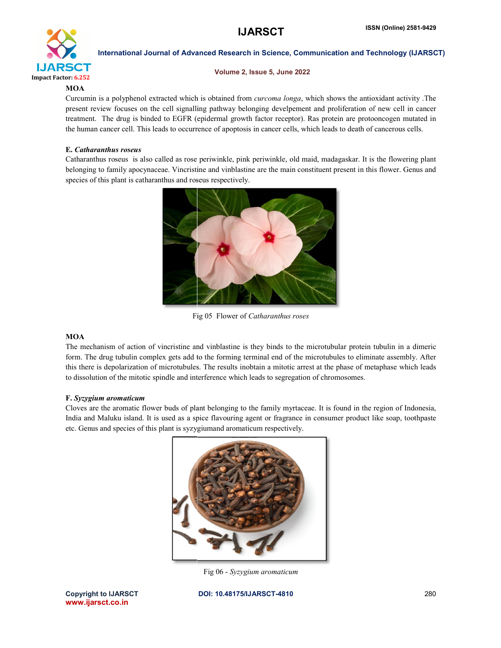# **IJARSCT**



International Journal of Advanced Research in Science, Communication and Technology (IJARSCT)

# Volume 2, Issue 5, June 2022

# **MOA**

Curcumin is a polyphenol extracted which is obtained from *curcoma longa*, which shows the antioxidant activity. The present review focuses on the cell signalling pathway belonging develpement and proliferation of new cell in cancer treatment. The drug is binded to EGFR (epidermal growth factor receptor). Ras protein are protooncogen mutated in the human cancer cell. This leads to occurrence of apoptosis in cancer cells, which leads to death of cancerous cells.

# E. *Catharanthus roseus*

the human cancer cell. This leads to occurrence of apoptosis in cancer cells, which leads to death of cancerous cells.<br> **E.** Catharanthus roseus<br>
Catharanthus roseus is also called as rose periwinkle, pink periwinkle, old the human cancer cell. This leads to occurrence of apoptosis in cancer cells, which leads to death of cancerous cells.<br> **E.** Catharanthus roseus<br>
Catharanthus roseus is also called as rose periwinkle, pink periwinkle, old species of this plant is catharanthus and roseus respectively.



Fig 05 Flower of Catharanthus roses

# **MOA**

The mechanism of action of vincristine and vinblastine is they binds to the microtubular protein tubulin in a dimeric The mechanism of action of vincristine and vinblastine is they binds to the microtubular protein tubulin in a dimeric<br>form. The drug tubulin complex gets add to the forming terminal end of the microtubules to eliminate ass this there is depolarization of microtubules. The results inobtain a mitotic arrest at the phase of metaphase which leads<br>to dissolution of the mitotic spindle and interference which leads to segregation of chromosomes.<br>F. to dissolution of the mitotic spindle and interference which leads to segregation of chromosomes.

# F. *Syzygium aromaticum*

to dissolution of the mitotic spindle and interference which leads to segregation of chromosomes.<br> **F. Syzygium aromaticum**<br>
Cloves are the aromatic flower buds of plant belonging to the family myrtaceae. It is found in th India and Maluku island. It is used as a spice flavouring agent or fragrance in consumer product like soap, toothpaste etc. Genus and species of this plant is syzygiumand aromaticum respectively.



Fig 06 - *Syzygium aromaticum*

Copyright to IJARSCT www.ijarsct.co.in

DOI: 10.48175/IJARSCT-4810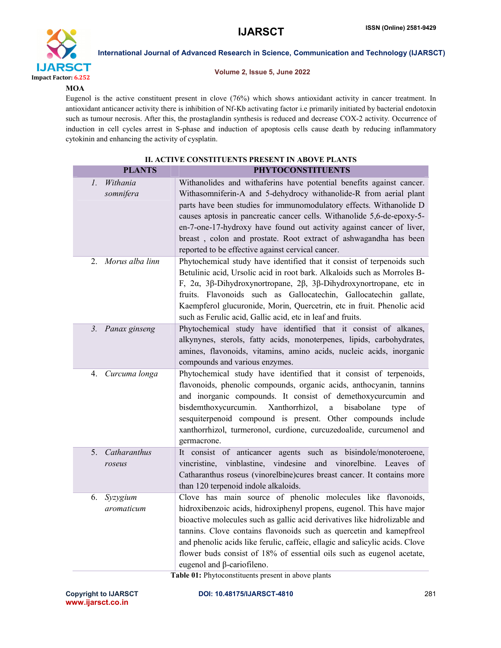

International Journal of Advanced Research in Science, Communication and Technology (IJARSCT)

# Volume 2, Issue 5, June 2022

# **MOA**

Eugenol is the active constituent present in clove (76%) which shows antioxidant activity in cancer treatment. In antioxidant anticancer activity there is inhibition of Nf-Kb activating factor i.e primarily initiated by bacterial endotoxin such as tumour necrosis. After this, the prostaglandin synthesis is reduced and decrease COX-2 activity. Occurrence of induction in cell cycles arrest in S-phase and induction of apoptosis cells cause death by reducing inflammatory cytokinin and enhancing the activity of cysplatin.

| II. ACTIVE CONSTITUENTS PRESENT IN ABOVE PLANTS |                                                                                                                                                                                                                                                                                                                                                                                                                                                                                             |
|-------------------------------------------------|---------------------------------------------------------------------------------------------------------------------------------------------------------------------------------------------------------------------------------------------------------------------------------------------------------------------------------------------------------------------------------------------------------------------------------------------------------------------------------------------|
| <b>PLANTS</b>                                   | <b>PHYTOCONSTITUENTS</b>                                                                                                                                                                                                                                                                                                                                                                                                                                                                    |
| Withania<br>1.<br>somnifera                     | Withanolides and withaferins have potential benefits against cancer.<br>Withasomniferin-A and 5-dehydrocy withanolide-R from aerial plant<br>parts have been studies for immunomodulatory effects. Withanolide D<br>causes aptosis in pancreatic cancer cells. Withanolide 5,6-de-epoxy-5-<br>en-7-one-17-hydroxy have found out activity against cancer of liver,<br>breast, colon and prostate. Root extract of ashwagandha has been<br>reported to be effective against cervical cancer. |
| Morus alba linn<br>2.                           | Phytochemical study have identified that it consist of terpenoids such<br>Betulinic acid, Ursolic acid in root bark. Alkaloids such as Morroles B-<br>F, $2\alpha$ , $3\beta$ -Dihydroxynortropane, $2\beta$ , $3\beta$ -Dihydroxynortropane, etc in<br>fruits. Flavonoids such as Gallocatechin, Gallocatechin gallate,<br>Kaempferol glucuronide, Morin, Quercetrin, etc in fruit. Phenolic acid<br>such as Ferulic acid, Gallic acid, etc in leaf and fruits.                            |
| 3 <sub>1</sub><br>Panax ginseng                 | Phytochemical study have identified that it consist of alkanes,<br>alkynynes, sterols, fatty acids, monoterpenes, lipids, carbohydrates,<br>amines, flavonoids, vitamins, amino acids, nucleic acids, inorganic<br>compounds and various enzymes.                                                                                                                                                                                                                                           |
| Curcuma longa<br>4.                             | Phytochemical study have identified that it consist of terpenoids,<br>flavonoids, phenolic compounds, organic acids, anthocyanin, tannins<br>and inorganic compounds. It consist of demethoxycurcumin and<br>Xanthorrhizol,<br>bisdemthoxycurcumin.<br>$\mathbf{a}$<br>bisabolane<br>type<br>οf<br>sesquiterpenoid compound is present. Other compounds include<br>xanthorrhizol, turmeronol, curdione, curcuzedoalide, curcumenol and<br>germacrone.                                       |
| Catharanthus<br>5.<br>roseus                    | It consist of anticancer agents such as bisindole/monoteroene,<br>vincristine, vinblastine, vindesine<br>and vinorelbine. Leaves of<br>Catharanthus roseus (vinorelbine)cures breast cancer. It contains more<br>than 120 terpenoid indole alkaloids.                                                                                                                                                                                                                                       |
| Syzygium<br>6.<br>aromaticum                    | Clove has main source of phenolic molecules like flavonoids,<br>hidroxibenzoic acids, hidroxiphenyl propens, eugenol. This have major<br>bioactive molecules such as gallic acid derivatives like hidrolizable and<br>tannins. Clove contains flavonoids such as quercetin and kamepfreol<br>and phenolic acids like ferulic, caffeic, ellagic and salicylic acids. Clove<br>flower buds consist of 18% of essential oils such as eugenol acetate,<br>eugenol and β-cariofileno.            |

Table 01: Phytoconstituents present in above plants